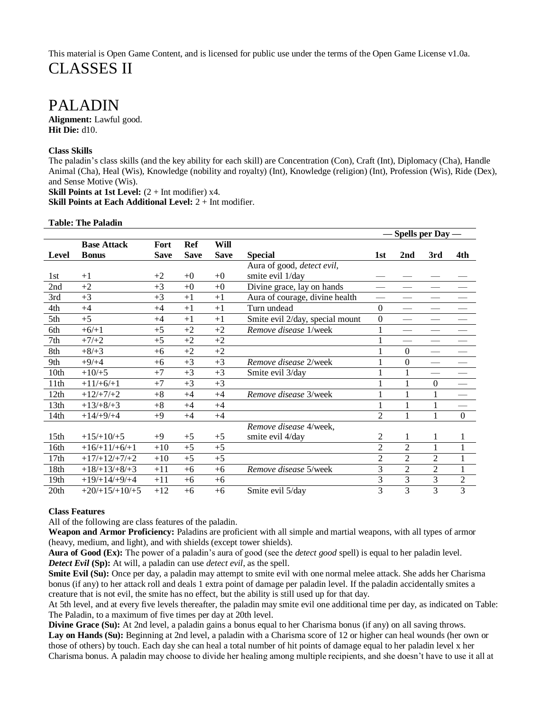# PALADIN

**Alignment:** Lawful good. **Hit Die:** d10.

### **Class Skills**

The paladin's class skills (and the key ability for each skill) are Concentration (Con), Craft (Int), Diplomacy (Cha), Handle Animal (Cha), Heal (Wis), Knowledge (nobility and royalty) (Int), Knowledge (religion) (Int), Profession (Wis), Ride (Dex), and Sense Motive (Wis).

**Skill Points at 1st Level:**  $(2 + \text{Int modifier}) x4$ .

**Skill Points at Each Additional Level:** 2 + Int modifier.

#### **Table: The Paladin**

|                  |                    |             |             |             |                                 |                  | Spells per $Day$ — |                |                |
|------------------|--------------------|-------------|-------------|-------------|---------------------------------|------------------|--------------------|----------------|----------------|
|                  | <b>Base Attack</b> | Fort        | <b>Ref</b>  | Will        |                                 |                  |                    |                |                |
| Level            | <b>Bonus</b>       | <b>Save</b> | <b>Save</b> | <b>Save</b> | <b>Special</b>                  | 1st              | 2nd                | 3rd            | 4th            |
|                  |                    |             |             |             | Aura of good, detect evil,      |                  |                    |                |                |
| 1st              | $+1$               | $+2$        | $+0$        | $+0$        | smite evil 1/day                |                  |                    |                |                |
| 2nd              | $+2$               | $+3$        | $+0$        | $+0$        | Divine grace, lay on hands      |                  |                    |                |                |
| 3rd              | $+3$               | $+3$        | $+1$        | $+1$        | Aura of courage, divine health  |                  |                    |                |                |
| 4th              | $+4$               | $+4$        | $+1$        | $+1$        | Turn undead                     | $\boldsymbol{0}$ |                    |                |                |
| 5th              | $+5$               | $+4$        | $+1$        | $+1$        | Smite evil 2/day, special mount | $\boldsymbol{0}$ |                    |                |                |
| 6th              | $+6/+1$            | $+5$        | $+2$        | $+2$        | Remove disease 1/week           | $\mathbf{1}$     |                    |                |                |
| 7th              | $+7/+2$            | $+5$        | $+2$        | $+2$        |                                 | 1                |                    |                |                |
| 8th              | $+8/+3$            | $+6$        | $+2$        | $+2$        |                                 | 1                | $\Omega$           |                |                |
| 9th              | $+9/+4$            | $+6$        | $+3$        | $+3$        | Remove disease 2/week           | 1                | $\Omega$           |                |                |
| 10th             | $+10/+5$           | $+7$        | $+3$        | $+3$        | Smite evil 3/day                | 1                |                    |                |                |
| 11th             | $+11/+6/+1$        | $+7$        | $+3$        | $+3$        |                                 | 1                |                    | $\mathbf{0}$   |                |
| 12 <sub>th</sub> | $+12/+7/+2$        | $+8$        | $+4$        | $+4$        | Remove disease 3/week           | 1                |                    | 1              |                |
| 13 <sub>th</sub> | $+13/+8/+3$        | $+8$        | $+4$        | $+4$        |                                 | 1                |                    | 1              |                |
| 14th             | $+14/+9/+4$        | $+9$        | $+4$        | $+4$        |                                 | $\overline{2}$   | 1                  | 1              | $\mathbf{0}$   |
|                  |                    |             |             |             | Remove disease 4/week,          |                  |                    |                |                |
| 15 <sub>th</sub> | $+15/+10/+5$       | $+9$        | $+5$        | $+5$        | smite evil 4/day                | $\mathbf{2}$     | 1                  | 1              | 1              |
| 16th             | $+16/+11/+6/+1$    | $+10$       | $+5$        | $+5$        |                                 | $\overline{2}$   | $\overline{2}$     |                | $\mathbf{1}$   |
| 17 <sub>th</sub> | $+17/+12/+7/+2$    | $+10$       | $+5$        | $+5$        |                                 | $\overline{2}$   | $\overline{2}$     | $\overline{2}$ | $\mathbf{1}$   |
| 18th             | $+18/+13/+8/+3$    | $+11$       | $+6$        | $+6$        | Remove disease 5/week           | 3                | $\overline{2}$     | $\overline{2}$ | $\mathbf{1}$   |
| 19th             | $+19/+14/+9/+4$    | $+11$       | $+6$        | $+6$        |                                 | 3                | 3                  | 3              | $\overline{c}$ |
| 20th             | $+20/+15/+10/+5$   | $+12$       | $+6$        | $+6$        | Smite evil 5/day                | 3                | 3                  | 3              | 3              |

#### **Class Features**

All of the following are class features of the paladin.

**Weapon and Armor Proficiency:** Paladins are proficient with all simple and martial weapons, with all types of armor (heavy, medium, and light), and with shields (except tower shields).

**Aura of Good (Ex):** The power of a paladin's aura of good (see the *detect good* spell) is equal to her paladin level. *Detect Evil* **(Sp):** At will, a paladin can use *detect evil*, as the spell.

**Smite Evil (Su):** Once per day, a paladin may attempt to smite evil with one normal melee attack. She adds her Charisma bonus (if any) to her attack roll and deals 1 extra point of damage per paladin level. If the paladin accidentally smites a creature that is not evil, the smite has no effect, but the ability is still used up for that day.

At 5th level, and at every five levels thereafter, the paladin may smite evil one additional time per day, as indicated on Table: The Paladin, to a maximum of five times per day at 20th level.

**Divine Grace (Su):** At 2nd level, a paladin gains a bonus equal to her Charisma bonus (if any) on all saving throws. **Lay on Hands (Su):** Beginning at 2nd level, a paladin with a Charisma score of 12 or higher can heal wounds (her own or those of others) by touch. Each day she can heal a total number of hit points of damage equal to her paladin level x her Charisma bonus. A paladin may choose to divide her healing among multiple recipients, and she doesn't have to use it all at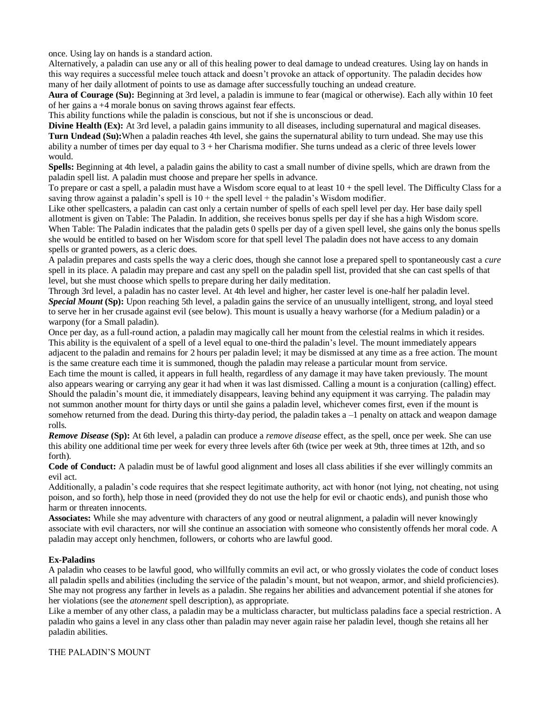once. Using lay on hands is a standard action.

Alternatively, a paladin can use any or all of this healing power to deal damage to undead creatures. Using lay on hands in this way requires a successful melee touch attack and doesn't provoke an attack of opportunity. The paladin decides how many of her daily allotment of points to use as damage after successfully touching an undead creature.

**Aura of Courage (Su):** Beginning at 3rd level, a paladin is immune to fear (magical or otherwise). Each ally within 10 feet of her gains a +4 morale bonus on saving throws against fear effects.

This ability functions while the paladin is conscious, but not if she is unconscious or dead.

**Divine Health (Ex):** At 3rd level, a paladin gains immunity to all diseases, including supernatural and magical diseases. **Turn Undead (Su):**When a paladin reaches 4th level, she gains the supernatural ability to turn undead. She may use this ability a number of times per day equal to  $3 + her$  Charisma modifier. She turns undead as a cleric of three levels lower would.

**Spells:** Beginning at 4th level, a paladin gains the ability to cast a small number of divine spells, which are drawn from the paladin spell list. A paladin must choose and prepare her spells in advance.

To prepare or cast a spell, a paladin must have a Wisdom score equal to at least 10 + the spell level. The Difficulty Class for a saving throw against a paladin's spell is  $10 +$  the spell level  $+$  the paladin's Wisdom modifier.

Like other spellcasters, a paladin can cast only a certain number of spells of each spell level per day. Her base daily spell allotment is given on Table: The Paladin. In addition, she receives bonus spells per day if she has a high Wisdom score. When Table: The Paladin indicates that the paladin gets 0 spells per day of a given spell level, she gains only the bonus spells she would be entitled to based on her Wisdom score for that spell level The paladin does not have access to any domain spells or granted powers, as a cleric does.

A paladin prepares and casts spells the way a cleric does, though she cannot lose a prepared spell to spontaneously cast a *cure*  spell in its place. A paladin may prepare and cast any spell on the paladin spell list, provided that she can cast spells of that level, but she must choose which spells to prepare during her daily meditation.

Through 3rd level, a paladin has no caster level. At 4th level and higher, her caster level is one-half her paladin level. *Special Mount* (Sp): Upon reaching 5th level, a paladin gains the service of an unusually intelligent, strong, and loyal steed to serve her in her crusade against evil (see below). This mount is usually a heavy warhorse (for a Medium paladin) or a warpony (for a Small paladin).

Once per day, as a full-round action, a paladin may magically call her mount from the celestial realms in which it resides. This ability is the equivalent of a spell of a level equal to one-third the paladin's level. The mount immediately appears adjacent to the paladin and remains for 2 hours per paladin level; it may be dismissed at any time as a free action. The mount is the same creature each time it is summoned, though the paladin may release a particular mount from service.

Each time the mount is called, it appears in full health, regardless of any damage it may have taken previously. The mount also appears wearing or carrying any gear it had when it was last dismissed. Calling a mount is a conjuration (calling) effect. Should the paladin's mount die, it immediately disappears, leaving behind any equipment it was carrying. The paladin may not summon another mount for thirty days or until she gains a paladin level, whichever comes first, even if the mount is somehow returned from the dead. During this thirty-day period, the paladin takes  $a - 1$  penalty on attack and weapon damage rolls.

*Remove Disease* **(Sp):** At 6th level, a paladin can produce a *remove disease* effect, as the spell, once per week. She can use this ability one additional time per week for every three levels after 6th (twice per week at 9th, three times at 12th, and so forth).

**Code of Conduct:** A paladin must be of lawful good alignment and loses all class abilities if she ever willingly commits an evil act.

Additionally, a paladin's code requires that she respect legitimate authority, act with honor (not lying, not cheating, not using poison, and so forth), help those in need (provided they do not use the help for evil or chaotic ends), and punish those who harm or threaten innocents.

**Associates:** While she may adventure with characters of any good or neutral alignment, a paladin will never knowingly associate with evil characters, nor will she continue an association with someone who consistently offends her moral code. A paladin may accept only henchmen, followers, or cohorts who are lawful good.

#### **Ex-Paladins**

A paladin who ceases to be lawful good, who willfully commits an evil act, or who grossly violates the code of conduct loses all paladin spells and abilities (including the service of the paladin's mount, but not weapon, armor, and shield proficiencies). She may not progress any farther in levels as a paladin. She regains her abilities and advancement potential if she atones for her violations (see the *atonement* spell description), as appropriate.

Like a member of any other class, a paladin may be a multiclass character, but multiclass paladins face a special restriction. A paladin who gains a level in any class other than paladin may never again raise her paladin level, though she retains all her paladin abilities.

THE PALADIN'S MOUNT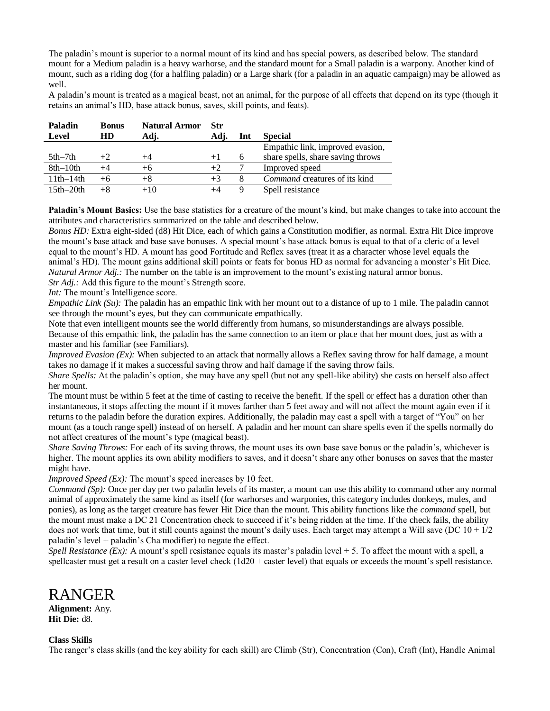The paladin's mount is superior to a normal mount of its kind and has special powers, as described below. The standard mount for a Medium paladin is a heavy warhorse, and the standard mount for a Small paladin is a warpony. Another kind of mount, such as a riding dog (for a halfling paladin) or a Large shark (for a paladin in an aquatic campaign) may be allowed as well.

A paladin's mount is treated as a magical beast, not an animal, for the purpose of all effects that depend on its type (though it retains an animal's HD, base attack bonus, saves, skill points, and feats).

| Paladin     | <b>Bonus</b> | <b>Natural Armor</b> | <b>Str</b>   |     |                                      |
|-------------|--------------|----------------------|--------------|-----|--------------------------------------|
| Level       | HD           | Adj.                 | Adj.         | Int | <b>Special</b>                       |
|             |              |                      |              |     | Empathic link, improved evasion,     |
| $5th-7th$   |              | $+4$                 | $+1$         | 6   | share spells, share saving throws    |
| $8th-10th$  |              | $+6$                 | $+2$         |     | Improved speed                       |
| $11th-14th$ | $+6$         | $+8$                 | $+3$         | 8   | <i>Command</i> creatures of its kind |
| $15th-20th$ | $+8$         | $+10$                | $+\varDelta$ | 9   | Spell resistance                     |

**Paladin's Mount Basics:** Use the base statistics for a creature of the mount's kind, but make changes to take into account the attributes and characteristics summarized on the table and described below.

*Bonus HD:* Extra eight-sided (d8) Hit Dice, each of which gains a Constitution modifier, as normal. Extra Hit Dice improve the mount's base attack and base save bonuses. A special mount's base attack bonus is equal to that of a cleric of a level equal to the mount's HD. A mount has good Fortitude and Reflex saves (treat it as a character whose level equals the animal's HD). The mount gains additional skill points or feats for bonus HD as normal for advancing a monster's Hit Dice. *Natural Armor Adj.:* The number on the table is an improvement to the mount's existing natural armor bonus. *Str Adj.:* Add this figure to the mount's Strength score.

*Int:* The mount's Intelligence score.

*Empathic Link (Su):* The paladin has an empathic link with her mount out to a distance of up to 1 mile. The paladin cannot see through the mount's eyes, but they can communicate empathically.

Note that even intelligent mounts see the world differently from humans, so misunderstandings are always possible.

Because of this empathic link, the paladin has the same connection to an item or place that her mount does, just as with a master and his familiar (see Familiars).

*Improved Evasion (Ex):* When subjected to an attack that normally allows a Reflex saving throw for half damage, a mount takes no damage if it makes a successful saving throw and half damage if the saving throw fails.

*Share Spells:* At the paladin's option, she may have any spell (but not any spell-like ability) she casts on herself also affect her mount.

The mount must be within 5 feet at the time of casting to receive the benefit. If the spell or effect has a duration other than instantaneous, it stops affecting the mount if it moves farther than 5 feet away and will not affect the mount again even if it returns to the paladin before the duration expires. Additionally, the paladin may cast a spell with a target of "You" on her mount (as a touch range spell) instead of on herself. A paladin and her mount can share spells even if the spells normally do not affect creatures of the mount's type (magical beast).

*Share Saving Throws:* For each of its saving throws, the mount uses its own base save bonus or the paladin's, whichever is higher. The mount applies its own ability modifiers to saves, and it doesn't share any other bonuses on saves that the master might have.

*Improved Speed (Ex):* The mount's speed increases by 10 feet.

*Command (Sp):* Once per day per two paladin levels of its master, a mount can use this ability to command other any normal animal of approximately the same kind as itself (for warhorses and warponies, this category includes donkeys, mules, and ponies), as long as the target creature has fewer Hit Dice than the mount. This ability functions like the *command* spell, but the mount must make a DC 21 Concentration check to succeed if it's being ridden at the time. If the check fails, the ability does not work that time, but it still counts against the mount's daily uses. Each target may attempt a Will save (DC  $10 + 1/2$ paladin's level + paladin's Cha modifier) to negate the effect.

*Spell Resistance (Ex):* A mount's spell resistance equals its master's paladin level + 5. To affect the mount with a spell, a spellcaster must get a result on a caster level check  $(1d20 + \text{caster level})$  that equals or exceeds the mount's spell resistance.

# RANGER

**Alignment:** Any. **Hit Die:** d8.

#### **Class Skills**

The ranger's class skills (and the key ability for each skill) are Climb (Str), Concentration (Con), Craft (Int), Handle Animal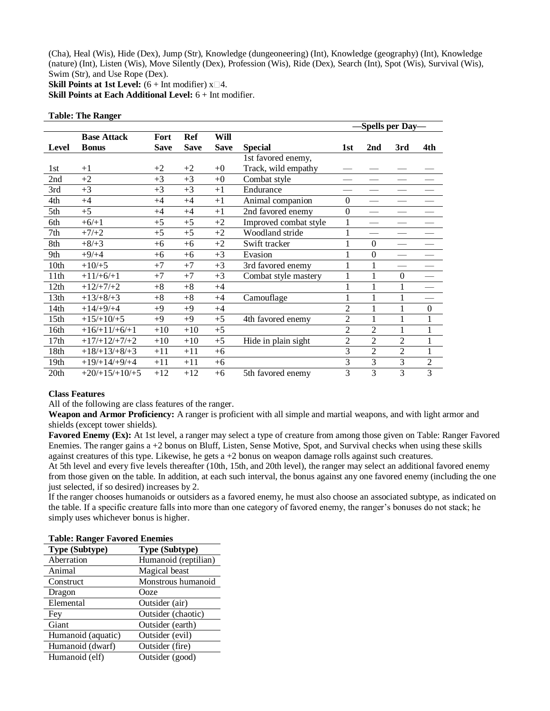(Cha), Heal (Wis), Hide (Dex), Jump (Str), Knowledge (dungeoneering) (Int), Knowledge (geography) (Int), Knowledge (nature) (Int), Listen (Wis), Move Silently (Dex), Profession (Wis), Ride (Dex), Search (Int), Spot (Wis), Survival (Wis), Swim (Str), and Use Rope (Dex).

```
Skill Points at 1st Level: (6 + \text{Int modifier}) \times 4.
```
**Skill Points at Each Additional Level:** 6 + Int modifier.

#### **Table: The Ranger**

|                  |                    |             |             |             |                       |                | Spells per Day-          |                  |                  |
|------------------|--------------------|-------------|-------------|-------------|-----------------------|----------------|--------------------------|------------------|------------------|
|                  | <b>Base Attack</b> | <b>Fort</b> | Ref         | Will        |                       |                |                          |                  |                  |
| Level            | <b>Bonus</b>       | <b>Save</b> | <b>Save</b> | <b>Save</b> | <b>Special</b>        | 1st            | 2nd                      | 3rd              | 4th              |
|                  |                    |             |             |             | 1st favored enemy,    |                |                          |                  |                  |
| 1st              | $+1$               | $+2$        | $+2$        | $+0$        | Track, wild empathy   |                |                          |                  |                  |
| 2nd              | $+2$               | $+3$        | $+3$        | $+0$        | Combat style          |                |                          |                  |                  |
| 3rd              | $+3$               | $+3$        | $+3$        | $+1$        | Endurance             |                |                          |                  |                  |
| 4th              | $+4$               | $+4$        | $+4$        | $+1$        | Animal companion      | $\Omega$       |                          |                  |                  |
| 5th              | $+5$               | $+4$        | $+4$        | $+1$        | 2nd favored enemy     | $\overline{0}$ |                          |                  |                  |
| 6th              | $+6/+1$            | $+5$        | $+5$        | $+2$        | Improved combat style | 1              |                          |                  |                  |
| 7th              | $+7/+2$            | $+5$        | $+5$        | $+2$        | Woodland stride       | 1              | $\overline{\phantom{0}}$ |                  |                  |
| 8th              | $+8/+3$            | $+6$        | $+6$        | $+2$        | Swift tracker         | 1              | $\overline{0}$           |                  |                  |
| 9th              | $+9/+4$            | $+6$        | $+6$        | $+3$        | Evasion               | 1              | $\Omega$                 |                  |                  |
| 10th             | $+10/+5$           | $+7$        | $+7$        | $+3$        | 3rd favored enemy     | 1              | 1                        |                  |                  |
| 11th             | $+11/+6/+1$        | $+7$        | $+7$        | $+3$        | Combat style mastery  | 1              | $\mathbf{1}$             | $\boldsymbol{0}$ |                  |
| 12th             | $+12/+7/+2$        | $+8$        | $+8$        | $+4$        |                       | 1              | 1                        | 1                |                  |
| 13th             | $+13/+8/+3$        | $+8$        | $+8$        | $+4$        | Camouflage            | 1              | 1                        | 1                |                  |
| 14th             | $+14/+9/+4$        | $+9$        | $+9$        | $+4$        |                       | $\overline{c}$ | $\mathbf{1}$             |                  | $\boldsymbol{0}$ |
| 15 <sub>th</sub> | $+15/+10/+5$       | $+9$        | $+9$        | $+5$        | 4th favored enemy     | $\overline{c}$ |                          |                  |                  |
| 16th             | $+16/+11/+6/+1$    | $+10$       | $+10$       | $+5$        |                       | $\overline{2}$ | $\overline{2}$           | 1                | 1                |
| 17th             | $+17/+12/+7/+2$    | $+10$       | $+10$       | $+5$        | Hide in plain sight   | $\overline{2}$ | $\overline{c}$           | $\overline{2}$   | 1                |
| 18th             | $+18/+13/+8/+3$    | $+11$       | $+11$       | $+6$        |                       | 3              | $\overline{2}$           | $\overline{2}$   | 1                |
| 19th             | $+19/+14/+9/+4$    | $+11$       | $+11$       | $+6$        |                       | 3              | 3                        | 3                | $\overline{c}$   |
| 20th             | $+20/+15/+10/+5$   | $+12$       | $+12$       | $+6$        | 5th favored enemy     | 3              | 3                        | 3                | 3                |

#### **Class Features**

All of the following are class features of the ranger.

**Weapon and Armor Proficiency:** A ranger is proficient with all simple and martial weapons, and with light armor and shields (except tower shields).

**Favored Enemy (Ex):** At 1st level, a ranger may select a type of creature from among those given on Table: Ranger Favored Enemies. The ranger gains  $a + 2$  bonus on Bluff, Listen, Sense Motive, Spot, and Survival checks when using these skills against creatures of this type. Likewise, he gets a +2 bonus on weapon damage rolls against such creatures.

At 5th level and every five levels thereafter (10th, 15th, and 20th level), the ranger may select an additional favored enemy from those given on the table. In addition, at each such interval, the bonus against any one favored enemy (including the one just selected, if so desired) increases by 2.

If the ranger chooses humanoids or outsiders as a favored enemy, he must also choose an associated subtype, as indicated on the table. If a specific creature falls into more than one category of favored enemy, the ranger's bonuses do not stack; he simply uses whichever bonus is higher.

| <b>Table: Ranger Favored Enemies</b> |                       |  |  |  |  |  |  |
|--------------------------------------|-----------------------|--|--|--|--|--|--|
| <b>Type (Subtype)</b>                | <b>Type (Subtype)</b> |  |  |  |  |  |  |
| Aberration                           | Humanoid (reptilian)  |  |  |  |  |  |  |
| Animal                               | Magical beast         |  |  |  |  |  |  |
| Construct                            | Monstrous humanoid    |  |  |  |  |  |  |
| Dragon                               | Ooze                  |  |  |  |  |  |  |
| Elemental                            | Outsider (air)        |  |  |  |  |  |  |
| Fey                                  | Outsider (chaotic)    |  |  |  |  |  |  |
| Giant                                | Outsider (earth)      |  |  |  |  |  |  |
| Humanoid (aquatic)                   | Outsider (evil)       |  |  |  |  |  |  |
| Humanoid (dwarf)                     | Outsider (fire)       |  |  |  |  |  |  |
| Humanoid (elf)                       | Outsider (good)       |  |  |  |  |  |  |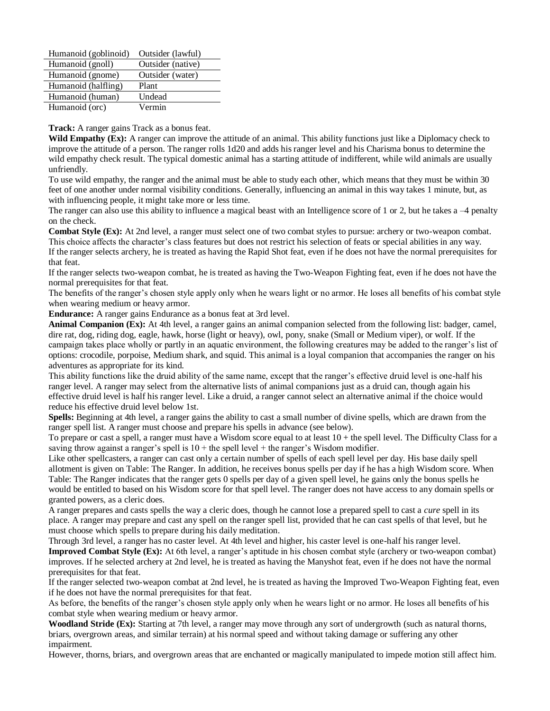Humanoid (goblinoid) Outsider (lawful) Humanoid (gnoll) Outsider (native) Humanoid (gnome) Outsider (water) Humanoid (halfling) Plant Humanoid (human) Undead Humanoid (orc) Vermin

**Track:** A ranger gains Track as a bonus feat.

Wild Empathy (Ex): A ranger can improve the attitude of an animal. This ability functions just like a Diplomacy check to improve the attitude of a person. The ranger rolls 1d20 and adds his ranger level and his Charisma bonus to determine the wild empathy check result. The typical domestic animal has a starting attitude of indifferent, while wild animals are usually unfriendly.

To use wild empathy, the ranger and the animal must be able to study each other, which means that they must be within 30 feet of one another under normal visibility conditions. Generally, influencing an animal in this way takes 1 minute, but, as with influencing people, it might take more or less time.

The ranger can also use this ability to influence a magical beast with an Intelligence score of 1 or 2, but he takes a  $-4$  penalty on the check.

**Combat Style (Ex):** At 2nd level, a ranger must select one of two combat styles to pursue: archery or two-weapon combat. This choice affects the character's class features but does not restrict his selection of feats or special abilities in any way.

If the ranger selects archery, he is treated as having the Rapid Shot feat, even if he does not have the normal prerequisites for that feat.

If the ranger selects two-weapon combat, he is treated as having the Two-Weapon Fighting feat, even if he does not have the normal prerequisites for that feat.

The benefits of the ranger's chosen style apply only when he wears light or no armor. He loses all benefits of his combat style when wearing medium or heavy armor.

**Endurance:** A ranger gains Endurance as a bonus feat at 3rd level.

**Animal Companion (Ex):** At 4th level, a ranger gains an animal companion selected from the following list: badger, camel, dire rat, dog, riding dog, eagle, hawk, horse (light or heavy), owl, pony, snake (Small or Medium viper), or wolf. If the campaign takes place wholly or partly in an aquatic environment, the following creatures may be added to the ranger's list of options: crocodile, porpoise, Medium shark, and squid. This animal is a loyal companion that accompanies the ranger on his adventures as appropriate for its kind.

This ability functions like the druid ability of the same name, except that the ranger's effective druid level is one-half his ranger level. A ranger may select from the alternative lists of animal companions just as a druid can, though again his effective druid level is half his ranger level. Like a druid, a ranger cannot select an alternative animal if the choice would reduce his effective druid level below 1st.

**Spells:** Beginning at 4th level, a ranger gains the ability to cast a small number of divine spells, which are drawn from the ranger spell list. A ranger must choose and prepare his spells in advance (see below).

To prepare or cast a spell, a ranger must have a Wisdom score equal to at least 10 + the spell level. The Difficulty Class for a saving throw against a ranger's spell is  $10 +$  the spell level  $+$  the ranger's Wisdom modifier.

Like other spellcasters, a ranger can cast only a certain number of spells of each spell level per day. His base daily spell allotment is given on Table: The Ranger. In addition, he receives bonus spells per day if he has a high Wisdom score. When Table: The Ranger indicates that the ranger gets 0 spells per day of a given spell level, he gains only the bonus spells he would be entitled to based on his Wisdom score for that spell level. The ranger does not have access to any domain spells or granted powers, as a cleric does.

A ranger prepares and casts spells the way a cleric does, though he cannot lose a prepared spell to cast a *cure* spell in its place. A ranger may prepare and cast any spell on the ranger spell list, provided that he can cast spells of that level, but he must choose which spells to prepare during his daily meditation.

Through 3rd level, a ranger has no caster level. At 4th level and higher, his caster level is one-half his ranger level. **Improved Combat Style (Ex):** At 6th level, a ranger's aptitude in his chosen combat style (archery or two-weapon combat) improves. If he selected archery at 2nd level, he is treated as having the Manyshot feat, even if he does not have the normal prerequisites for that feat.

If the ranger selected two-weapon combat at 2nd level, he is treated as having the Improved Two-Weapon Fighting feat, even if he does not have the normal prerequisites for that feat.

As before, the benefits of the ranger's chosen style apply only when he wears light or no armor. He loses all benefits of his combat style when wearing medium or heavy armor.

**Woodland Stride (Ex):** Starting at 7th level, a ranger may move through any sort of undergrowth (such as natural thorns, briars, overgrown areas, and similar terrain) at his normal speed and without taking damage or suffering any other impairment.

However, thorns, briars, and overgrown areas that are enchanted or magically manipulated to impede motion still affect him.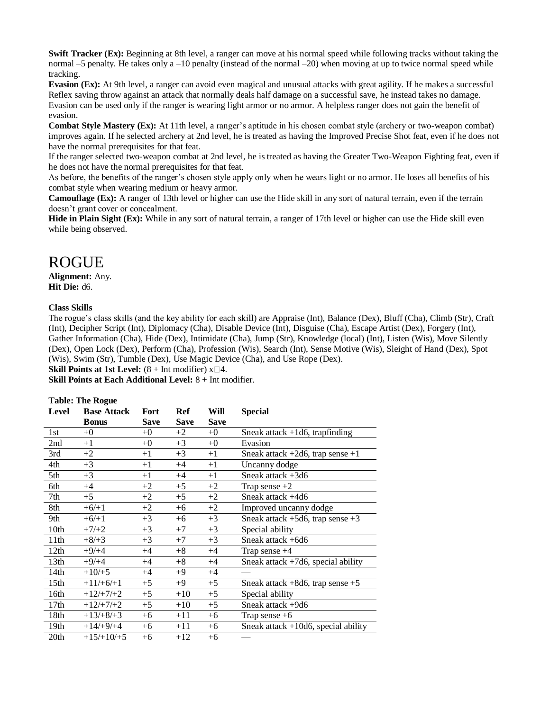**Swift Tracker (Ex):** Beginning at 8th level, a ranger can move at his normal speed while following tracks without taking the normal  $-5$  penalty. He takes only a  $-10$  penalty (instead of the normal  $-20$ ) when moving at up to twice normal speed while tracking.

**Evasion (Ex):** At 9th level, a ranger can avoid even magical and unusual attacks with great agility. If he makes a successful Reflex saving throw against an attack that normally deals half damage on a successful save, he instead takes no damage. Evasion can be used only if the ranger is wearing light armor or no armor. A helpless ranger does not gain the benefit of evasion.

**Combat Style Mastery (Ex):** At 11th level, a ranger's aptitude in his chosen combat style (archery or two-weapon combat) improves again. If he selected archery at 2nd level, he is treated as having the Improved Precise Shot feat, even if he does not have the normal prerequisites for that feat.

If the ranger selected two-weapon combat at 2nd level, he is treated as having the Greater Two-Weapon Fighting feat, even if he does not have the normal prerequisites for that feat.

As before, the benefits of the ranger's chosen style apply only when he wears light or no armor. He loses all benefits of his combat style when wearing medium or heavy armor.

**Camouflage (Ex):** A ranger of 13th level or higher can use the Hide skill in any sort of natural terrain, even if the terrain doesn't grant cover or concealment.

**Hide in Plain Sight (Ex):** While in any sort of natural terrain, a ranger of 17th level or higher can use the Hide skill even while being observed.

# ROGUE

**Alignment:** Any. **Hit Die:** d6.

#### **Class Skills**

The rogue's class skills (and the key ability for each skill) are Appraise (Int), Balance (Dex), Bluff (Cha), Climb (Str), Craft (Int), Decipher Script (Int), Diplomacy (Cha), Disable Device (Int), Disguise (Cha), Escape Artist (Dex), Forgery (Int), Gather Information (Cha), Hide (Dex), Intimidate (Cha), Jump (Str), Knowledge (local) (Int), Listen (Wis), Move Silently (Dex), Open Lock (Dex), Perform (Cha), Profession (Wis), Search (Int), Sense Motive (Wis), Sleight of Hand (Dex), Spot (Wis), Swim (Str), Tumble (Dex), Use Magic Device (Cha), and Use Rope (Dex).

**Skill Points at 1st Level:**  $(8 + \text{Int modifier}) \times \square 4$ .

**Skill Points at Each Additional Level:** 8 + Int modifier.

| <b>Table: The Rogue</b> |  |  |  |
|-------------------------|--|--|--|
|-------------------------|--|--|--|

| <b>Level</b>     | <b>Base Attack</b> | Fort        | Ref         | Will        | <b>Special</b>                         |
|------------------|--------------------|-------------|-------------|-------------|----------------------------------------|
|                  | <b>Bonus</b>       | <b>Save</b> | <b>Save</b> | <b>Save</b> |                                        |
| 1st              | $+0$               | $+0$        | $+2$        | $+0$        | Sneak attack $+1d6$ , trapfinding      |
| 2nd              | $+1$               | $+0$        | $+3$        | $+0$        | Evasion                                |
| 3rd              | $+2$               | $+1$        | $+3$        | $+1$        | Sneak attack $+2d6$ , trap sense $+1$  |
| 4th              | $+3$               | $+1$        | $+4$        | $+1$        | Uncanny dodge                          |
| 5th              | $+3$               | $+1$        | $+4$        | $+1$        | Sneak attack $+3d6$                    |
| 6th              | $+4$               | $+2$        | $+5$        | $+2$        | Trap sense $+2$                        |
| 7th              | $+5$               | $+2$        | $+5$        | $+2$        | Sneak attack +4d6                      |
| 8th              | $+6/+1$            | $+2$        | $+6$        | $+2$        | Improved uncanny dodge                 |
| 9th              | $+6/+1$            | $+3$        | $+6$        | $+3$        | Sneak attack $+5d6$ , trap sense $+3$  |
| 10 <sub>th</sub> | $+7/+2$            | $+3$        | $+7$        | $+3$        | Special ability                        |
| 11 <sup>th</sup> | $+8/+3$            | $+3$        | $+7$        | $+3$        | Sneak attack +6d6                      |
| 12th             | $+9/+4$            | $+4$        | $+8$        | $+4$        | Trap sense $+4$                        |
| 13th             | $+9/+4$            | $+4$        | $+8$        | $+4$        | Sneak attack $+7d6$ , special ability  |
| 14th             | $+10/+5$           | $+4$        | +9          | $+4$        |                                        |
| 15 <sub>th</sub> | $+11/+6/+1$        | $+5$        | $+9$        | $+5$        | Sneak attack $+8d6$ , trap sense $+5$  |
| 16th             | $+12/+7/+2$        | $+5$        | $+10$       | $+5$        | Special ability                        |
| 17th             | $+12/+7/+2$        | $+5$        | $+10$       | $+5$        | Sneak attack +9d6                      |
| 18th             | $+13/+8/+3$        | $+6$        | $+11$       | $+6$        | Trap sense $+6$                        |
| 19th             | $+14/+9/+4$        | $+6$        | $+11$       | $+6$        | Sneak attack $+10d6$ , special ability |
| 20th             | $+15/+10/+5$       | $+6$        | $+12$       | $+6$        |                                        |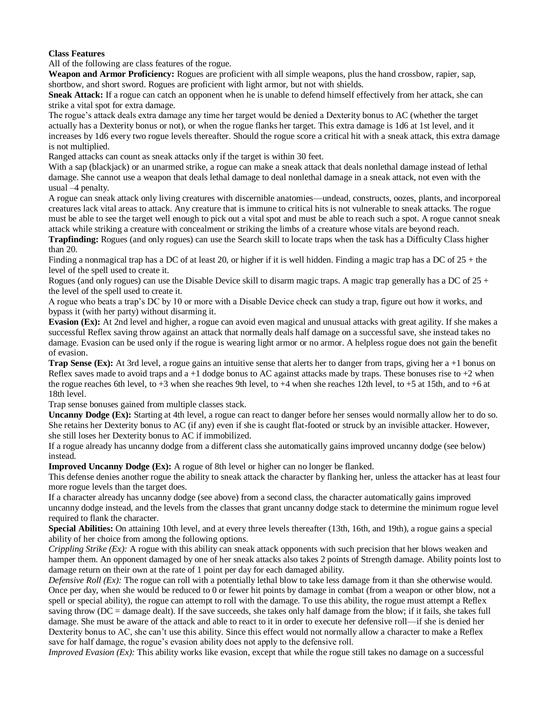### **Class Features**

All of the following are class features of the rogue.

**Weapon and Armor Proficiency:** Rogues are proficient with all simple weapons, plus the hand crossbow, rapier, sap, shortbow, and short sword. Rogues are proficient with light armor, but not with shields.

**Sneak Attack:** If a rogue can catch an opponent when he is unable to defend himself effectively from her attack, she can strike a vital spot for extra damage.

The rogue's attack deals extra damage any time her target would be denied a Dexterity bonus to AC (whether the target actually has a Dexterity bonus or not), or when the rogue flanks her target. This extra damage is 1d6 at 1st level, and it increases by 1d6 every two rogue levels thereafter. Should the rogue score a critical hit with a sneak attack, this extra damage is not multiplied.

Ranged attacks can count as sneak attacks only if the target is within 30 feet.

With a sap (blackjack) or an unarmed strike, a rogue can make a sneak attack that deals nonlethal damage instead of lethal damage. She cannot use a weapon that deals lethal damage to deal nonlethal damage in a sneak attack, not even with the usual –4 penalty.

A rogue can sneak attack only living creatures with discernible anatomies—undead, constructs, oozes, plants, and incorporeal creatures lack vital areas to attack. Any creature that is immune to critical hits is not vulnerable to sneak attacks. The rogue must be able to see the target well enough to pick out a vital spot and must be able to reach such a spot. A rogue cannot sneak attack while striking a creature with concealment or striking the limbs of a creature whose vitals are beyond reach.

**Trapfinding:** Rogues (and only rogues) can use the Search skill to locate traps when the task has a Difficulty Class higher than 20.

Finding a nonmagical trap has a DC of at least 20, or higher if it is well hidden. Finding a magic trap has a DC of 25 + the level of the spell used to create it.

Rogues (and only rogues) can use the Disable Device skill to disarm magic traps. A magic trap generally has a DC of  $25 +$ the level of the spell used to create it.

A rogue who beats a trap's DC by 10 or more with a Disable Device check can study a trap, figure out how it works, and bypass it (with her party) without disarming it.

**Evasion (Ex):** At 2nd level and higher, a rogue can avoid even magical and unusual attacks with great agility. If she makes a successful Reflex saving throw against an attack that normally deals half damage on a successful save, she instead takes no damage. Evasion can be used only if the rogue is wearing light armor or no armor. A helpless rogue does not gain the benefit of evasion.

**Trap Sense (Ex):** At 3rd level, a rogue gains an intuitive sense that alerts her to danger from traps, giving her a +1 bonus on Reflex saves made to avoid traps and a  $+1$  dodge bonus to AC against attacks made by traps. These bonuses rise to  $+2$  when the rogue reaches 6th level, to +3 when she reaches 9th level, to +4 when she reaches 12th level, to +5 at 15th, and to +6 at 18th level.

Trap sense bonuses gained from multiple classes stack.

**Uncanny Dodge (Ex):** Starting at 4th level, a rogue can react to danger before her senses would normally allow her to do so. She retains her Dexterity bonus to AC (if any) even if she is caught flat-footed or struck by an invisible attacker. However, she still loses her Dexterity bonus to AC if immobilized.

If a rogue already has uncanny dodge from a different class she automatically gains improved uncanny dodge (see below) instead.

**Improved Uncanny Dodge (Ex):** A rogue of 8th level or higher can no longer be flanked.

This defense denies another rogue the ability to sneak attack the character by flanking her, unless the attacker has at least four more rogue levels than the target does.

If a character already has uncanny dodge (see above) from a second class, the character automatically gains improved uncanny dodge instead, and the levels from the classes that grant uncanny dodge stack to determine the minimum rogue level required to flank the character.

**Special Abilities:** On attaining 10th level, and at every three levels thereafter (13th, 16th, and 19th), a rogue gains a special ability of her choice from among the following options.

*Crippling Strike (Ex):* A rogue with this ability can sneak attack opponents with such precision that her blows weaken and hamper them. An opponent damaged by one of her sneak attacks also takes 2 points of Strength damage. Ability points lost to damage return on their own at the rate of 1 point per day for each damaged ability.

*Defensive Roll (Ex):* The rogue can roll with a potentially lethal blow to take less damage from it than she otherwise would. Once per day, when she would be reduced to 0 or fewer hit points by damage in combat (from a weapon or other blow, not a spell or special ability), the rogue can attempt to roll with the damage. To use this ability, the rogue must attempt a Reflex saving throw (DC = damage dealt). If the save succeeds, she takes only half damage from the blow; if it fails, she takes full damage. She must be aware of the attack and able to react to it in order to execute her defensive roll—if she is denied her Dexterity bonus to AC, she can't use this ability. Since this effect would not normally allow a character to make a Reflex save for half damage, the rogue's evasion ability does not apply to the defensive roll.

*Improved Evasion (Ex):* This ability works like evasion, except that while the rogue still takes no damage on a successful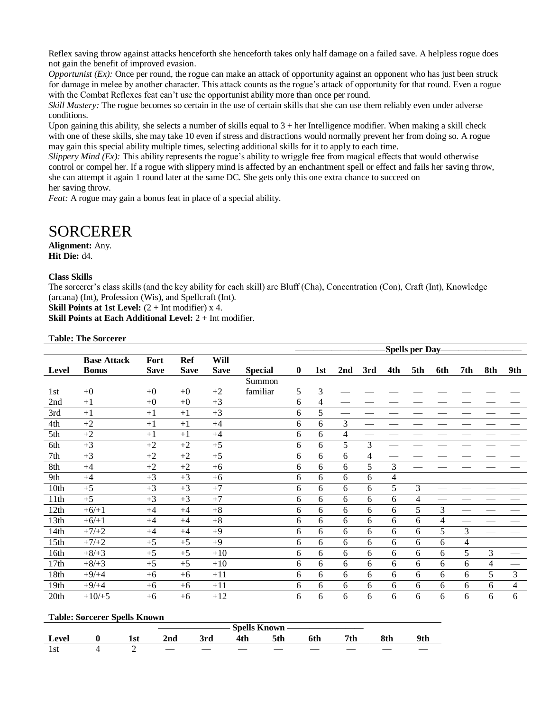Reflex saving throw against attacks henceforth she henceforth takes only half damage on a failed save. A helpless rogue does not gain the benefit of improved evasion.

*Opportunist (Ex):* Once per round, the rogue can make an attack of opportunity against an opponent who has just been struck for damage in melee by another character. This attack counts as the rogue's attack of opportunity for that round. Even a rogue with the Combat Reflexes feat can't use the opportunist ability more than once per round.

*Skill Mastery:* The rogue becomes so certain in the use of certain skills that she can use them reliably even under adverse conditions.

Upon gaining this ability, she selects a number of skills equal to  $3 + her$  Intelligence modifier. When making a skill check with one of these skills, she may take 10 even if stress and distractions would normally prevent her from doing so. A rogue may gain this special ability multiple times, selecting additional skills for it to apply to each time.

*Slippery Mind (Ex)*: This ability represents the rogue's ability to wriggle free from magical effects that would otherwise control or compel her. If a rogue with slippery mind is affected by an enchantment spell or effect and fails her saving throw, she can attempt it again 1 round later at the same DC. She gets only this one extra chance to succeed on her saving throw.

*Feat:* A rogue may gain a bonus feat in place of a special ability.

## **SORCERER**

**Alignment:** Any. **Hit Die:** d4.

## **Class Skills**

The sorcerer's class skills (and the key ability for each skill) are Bluff (Cha), Concentration (Con), Craft (Int), Knowledge (arcana) (Int), Profession (Wis), and Spellcraft (Int).

**Skill Points at 1st Level:**  $(2 + \text{Int modifier}) x 4$ .

**Skill Points at Each Additional Level:** 2 + Int modifier.

#### **Table: The Sorcerer**

|                  |                    |             |             |             |                | Spells per Day- |     |                 |     |     |     |     |     |     |     |
|------------------|--------------------|-------------|-------------|-------------|----------------|-----------------|-----|-----------------|-----|-----|-----|-----|-----|-----|-----|
|                  | <b>Base Attack</b> | Fort        | <b>Ref</b>  | Will        |                |                 |     |                 |     |     |     |     |     |     |     |
| Level            | <b>Bonus</b>       | <b>Save</b> | <b>Save</b> | <b>Save</b> | <b>Special</b> | $\bf{0}$        | 1st | 2 <sub>nd</sub> | 3rd | 4th | 5th | 6th | 7th | 8th | 9th |
|                  |                    |             |             |             | Summon         |                 |     |                 |     |     |     |     |     |     |     |
| 1st              | $+0$               | $+0$        | $+0$        | $+2$        | familiar       | 5               | 3   |                 |     |     |     |     |     |     |     |
| 2nd              | $+1$               | $+0$        | $+0$        | $+3$        |                | 6               | 4   |                 |     |     |     |     |     |     |     |
| 3rd              | $+1$               | $+1$        | $+1$        | $+3$        |                | 6               | 5   |                 |     |     |     |     |     |     |     |
| 4th              | $+2$               | $+1$        | $+1$        | $+4$        |                | 6               | 6   | 3               |     |     |     |     |     |     |     |
| 5th              | $+2$               | $+1$        | $+1$        | $+4$        |                | 6               | 6   | 4               |     |     |     |     |     |     |     |
| 6th              | $+3$               | $+2$        | $+2$        | $+5$        |                | 6               | 6   | 5               | 3   |     |     |     |     |     |     |
| 7th              | $+3$               | $+2$        | $+2$        | $+5$        |                | 6               | 6   | 6               | 4   |     |     |     |     |     |     |
| 8th              | $+4$               | $+2$        | $+2$        | $+6$        |                | 6               | 6   | 6               | 5   | 3   |     |     |     |     |     |
| 9th              | $+4$               | $+3$        | $+3$        | $+6$        |                | 6               | 6   | 6               | 6   | 4   |     |     |     |     |     |
| 10th             | $+5$               | $+3$        | $+3$        | $+7$        |                | 6               | 6   | 6               | 6   | 5   | 3   |     |     |     |     |
| 11 <sup>th</sup> | $+5$               | $+3$        | $+3$        | $+7$        |                | 6               | 6   | 6               | 6   | 6   | 4   |     |     |     |     |
| 12 <sub>th</sub> | $+6/+1$            | $+4$        | $+4$        | $+8$        |                | 6               | 6   | 6               | 6   | 6   | 5   | 3   |     |     |     |
| 13 <sub>th</sub> | $+6/+1$            | $+4$        | $+4$        | $+8$        |                | 6               | 6   | 6               | 6   | 6   | 6   | 4   |     |     |     |
| 14 <sub>th</sub> | $+7/+2$            | $+4$        | $+4$        | $+9$        |                | 6               | 6   | 6               | 6   | 6   | 6   | 5   | 3   |     |     |
| 15 <sub>th</sub> | $+7/+2$            | $+5$        | $+5$        | $+9$        |                | 6               | 6   | 6               | 6   | 6   | 6   | 6   | 4   |     |     |
| 16th             | $+8/+3$            | $+5$        | $+5$        | $+10$       |                | 6               | 6   | 6               | 6   | 6   | 6   | 6   | 5   | 3   |     |
| 17th             | $+8/+3$            | $+5$        | $+5$        | $+10$       |                | 6               | 6   | 6               | 6   | 6   | 6   | 6   | 6   | 4   |     |
| 18th             | $+9/+4$            | $+6$        | $+6$        | $+11$       |                | 6               | 6   | 6               | 6   | 6   | 6   | 6   | 6   | 5   | 3   |
| 19 <sub>th</sub> | $+9/+4$            | $+6$        | $+6$        | $+11$       |                | 6               | 6   | 6               | 6   | 6   | 6   | 6   | 6   | 6   | 4   |
| 20th             | $+10/+5$           | $+6$        | $+6$        | $+12$       |                | 6               | 6   | 6               | 6   | 6   | 6   | 6   | 6   | 6   | 6   |

#### **Table: Sorcerer Spells Known**

|       |           |     |     | <b>Spells Known</b> |     |     |     |     |     |
|-------|-----------|-----|-----|---------------------|-----|-----|-----|-----|-----|
| Level | c1<br>191 | 2nd | 3rd | 4th                 | 5th | 6th | 7th | 8th | 9th |
| 15 t  |           |     |     |                     |     |     |     |     |     |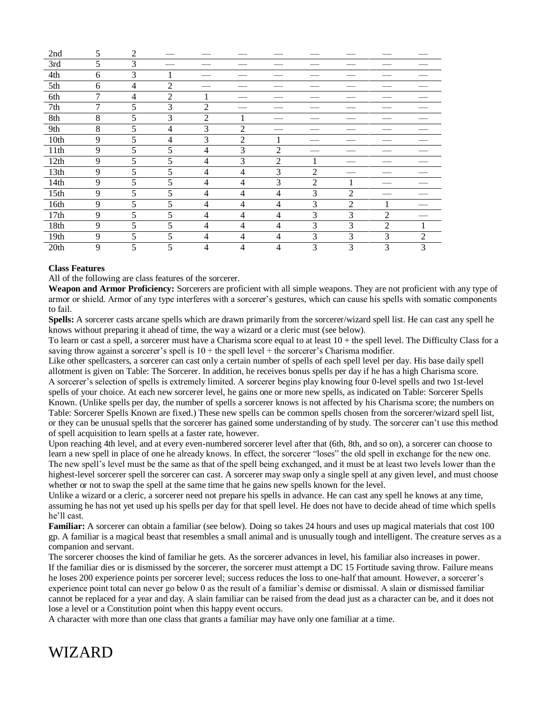| 2nd  | 5       | 2 |                          |                |                |                          |                |                |                |                |  |
|------|---------|---|--------------------------|----------------|----------------|--------------------------|----------------|----------------|----------------|----------------|--|
| 3rd  | 5       | 3 |                          |                |                |                          |                |                |                |                |  |
| 4th  | 6       | 3 |                          |                |                |                          |                |                |                |                |  |
| 5th  | 6       | 4 | $\overline{2}$           |                |                |                          |                |                |                |                |  |
| 6th  | 7       | 4 | $\overline{2}$           | 1              |                |                          |                |                |                |                |  |
| 7th  | 7       | 5 | 3                        | $\overline{2}$ |                |                          |                |                |                |                |  |
| 8th  | $\,8\,$ | 5 | 3                        | $\overline{2}$ |                |                          |                |                |                |                |  |
| 9th  | 8       | 5 | $\overline{\mathcal{A}}$ | 3              | $\overline{c}$ |                          |                |                |                |                |  |
| 10th | 9       | 5 | $\overline{4}$           | 3              | $\overline{c}$ |                          |                |                |                |                |  |
| 11th | 9       | 5 | 5                        | $\overline{4}$ | 3              | $\mathfrak{2}$           |                |                |                |                |  |
| 12th | 9       | 5 | 5                        | $\overline{4}$ | 3              | $\sqrt{2}$               |                |                |                |                |  |
| 13th | 9       | 5 | 5                        | $\overline{4}$ | 4              | 3                        | 2              |                |                |                |  |
| 14th | 9       | 5 | 5                        | $\overline{4}$ | $\overline{4}$ | 3                        | $\overline{2}$ |                |                |                |  |
| 15th | 9       | 5 | 5                        | $\overline{4}$ | 4              | $\overline{\mathcal{A}}$ | 3              | $\overline{2}$ |                |                |  |
| 16th | 9       | 5 | 5                        | $\overline{4}$ | 4              | $\overline{\mathcal{A}}$ | 3              | $\overline{2}$ | -1             |                |  |
| 17th | 9       | 5 | 5                        | $\overline{4}$ | 4              | $\overline{\mathcal{A}}$ | 3              | 3              | $\overline{2}$ |                |  |
| 18th | 9       | 5 | 5                        | $\overline{4}$ | 4              | $\overline{\mathcal{A}}$ | 3              | 3              | $\overline{2}$ |                |  |
| 19th | 9       | 5 | 5                        | $\overline{4}$ | 4              | $\overline{\mathcal{A}}$ | 3              | 3              | 3              | $\overline{c}$ |  |
| 20th | 9       |   | 5                        | 4              | 4              | 4                        | 3              | 3              | 3              | 3              |  |

#### **Class Features**

All of the following are class features of the sorcerer.

**Weapon and Armor Proficiency:** Sorcerers are proficient with all simple weapons. They are not proficient with any type of armor or shield. Armor of any type interferes with a sorcerer's gestures, which can cause his spells with somatic components to fail.

**Spells:** A sorcerer casts arcane spells which are drawn primarily from the sorcerer/wizard spell list. He can cast any spell he knows without preparing it ahead of time, the way a wizard or a cleric must (see below).

To learn or cast a spell, a sorcerer must have a Charisma score equal to at least 10 + the spell level. The Difficulty Class for a saving throw against a sorcerer's spell is  $10 +$  the spell level  $+$  the sorcerer's Charisma modifier.

Like other spellcasters, a sorcerer can cast only a certain number of spells of each spell level per day. His base daily spell allotment is given on Table: The Sorcerer. In addition, he receives bonus spells per day if he has a high Charisma score. A sorcerer's selection of spells is extremely limited. A sorcerer begins play knowing four 0-level spells and two 1st-level spells of your choice. At each new sorcerer level, he gains one or more new spells, as indicated on Table: Sorcerer Spells Known. (Unlike spells per day, the number of spells a sorcerer knows is not affected by his Charisma score; the numbers on Table: Sorcerer Spells Known are fixed.) These new spells can be common spells chosen from the sorcerer/wizard spell list, or they can be unusual spells that the sorcerer has gained some understanding of by study. The sorcerer can't use this method of spell acquisition to learn spells at a faster rate, however.

Upon reaching 4th level, and at every even-numbered sorcerer level after that (6th, 8th, and so on), a sorcerer can choose to learn a new spell in place of one he already knows. In effect, the sorcerer "loses" the old spell in exchange for the new one. The new spell's level must be the same as that of the spell being exchanged, and it must be at least two levels lower than the highest-level sorcerer spell the sorcerer can cast. A sorcerer may swap only a single spell at any given level, and must choose whether or not to swap the spell at the same time that he gains new spells known for the level.

Unlike a wizard or a cleric, a sorcerer need not prepare his spells in advance. He can cast any spell he knows at any time, assuming he has not yet used up his spells per day for that spell level. He does not have to decide ahead of time which spells he'll cast.

**Familiar:** A sorcerer can obtain a familiar (see below). Doing so takes 24 hours and uses up magical materials that cost 100 gp. A familiar is a magical beast that resembles a small animal and is unusually tough and intelligent. The creature serves as a companion and servant.

The sorcerer chooses the kind of familiar he gets. As the sorcerer advances in level, his familiar also increases in power. If the familiar dies or is dismissed by the sorcerer, the sorcerer must attempt a DC 15 Fortitude saving throw. Failure means he loses 200 experience points per sorcerer level; success reduces the loss to one-half that amount. However, a sorcerer's experience point total can never go below 0 as the result of a familiar's demise or dismissal. A slain or dismissed familiar cannot be replaced for a year and day. A slain familiar can be raised from the dead just as a character can be, and it does not lose a level or a Constitution point when this happy event occurs.

A character with more than one class that grants a familiar may have only one familiar at a time.

# WIZARD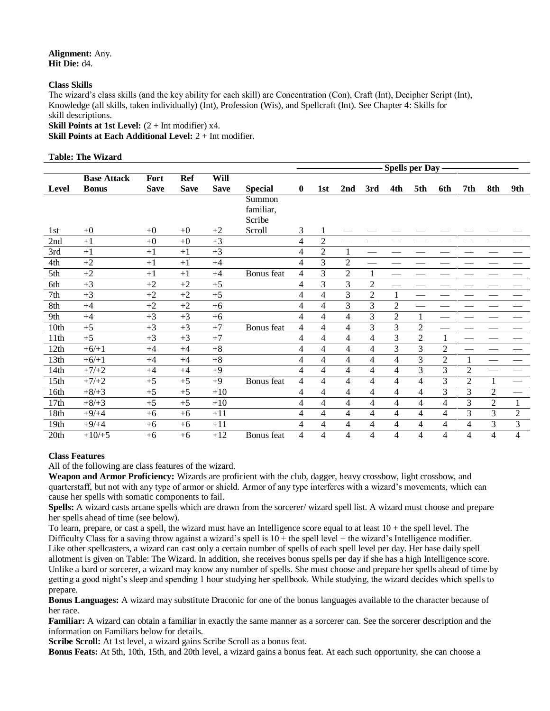### **Alignment:** Any. **Hit Die:** d4.

**Class Skills**

The wizard's class skills (and the key ability for each skill) are Concentration (Con), Craft (Int), Decipher Script (Int), Knowledge (all skills, taken individually) (Int), Profession (Wis), and Spellcraft (Int). See Chapter 4: Skills for skill descriptions.

**Skill Points at 1st Level:**  $(2 + \text{Int modifier})$  x4.

**Skill Points at Each Additional Level:** 2 + Int modifier.

|  |  | <b>Table: The Wizard</b> |
|--|--|--------------------------|
|--|--|--------------------------|

|                  |                    |             |             |             |                | Spells per Day -         |                |                 |                          |                          |                          |                |                |                |                |
|------------------|--------------------|-------------|-------------|-------------|----------------|--------------------------|----------------|-----------------|--------------------------|--------------------------|--------------------------|----------------|----------------|----------------|----------------|
|                  | <b>Base Attack</b> | Fort        | <b>Ref</b>  | Will        |                |                          |                |                 |                          |                          |                          |                |                |                |                |
| Level            | <b>Bonus</b>       | <b>Save</b> | <b>Save</b> | <b>Save</b> | <b>Special</b> | $\bf{0}$                 | 1st            | 2 <sub>nd</sub> | 3rd                      | 4th                      | 5th                      | 6th            | 7th            | 8th            | 9th            |
|                  |                    |             |             |             | Summon         |                          |                |                 |                          |                          |                          |                |                |                |                |
|                  |                    |             |             |             | familiar,      |                          |                |                 |                          |                          |                          |                |                |                |                |
|                  |                    |             |             |             | Scribe         |                          |                |                 |                          |                          |                          |                |                |                |                |
| 1st              | $+0$               | $+0$        | $+0$        | $+2$        | Scroll         | 3                        |                |                 |                          |                          |                          |                |                |                |                |
| 2nd              | $+1$               | $+0$        | $+0$        | $+3$        |                | 4                        | $\overline{c}$ |                 |                          |                          |                          |                |                |                |                |
| 3rd              | $+1$               | $+1$        | $+1$        | $+3$        |                | $\overline{4}$           | $\overline{2}$ |                 |                          |                          |                          |                |                |                |                |
| 4th              | $+2$               | $+1$        | $+1$        | $+4$        |                | 4                        | 3              | $\overline{2}$  |                          |                          |                          |                |                |                |                |
| 5th              | $+2$               | $+1$        | $+1$        | $+4$        | Bonus feat     | 4                        | 3              | $\overline{2}$  | 1                        |                          |                          |                |                |                |                |
| 6th              | $+3$               | $+2$        | $+2$        | $+5$        |                | 4                        | 3              | 3               | $\overline{2}$           |                          |                          |                |                |                |                |
| 7th              | $+3$               | $+2$        | $+2$        | $+5$        |                | $\overline{4}$           | 4              | 3               | 2                        | 1                        | $\overline{\phantom{a}}$ |                |                |                |                |
| 8th              | $+4$               | $+2$        | $+2$        | $+6$        |                | 4                        | 4              | 3               | 3                        | $\overline{2}$           |                          |                |                |                |                |
| 9th              | $+4$               | $+3$        | $+3$        | $+6$        |                | $\overline{4}$           | 4              | 4               | 3                        | $\overline{c}$           | 1                        |                |                |                |                |
| 10th             | $+5$               | $+3$        | $+3$        | $+7$        | Bonus feat     | $\overline{\mathcal{L}}$ | 4              | 4               | 3                        | 3                        | $\overline{2}$           |                |                |                |                |
| 11th             | $+5$               | $+3$        | $+3$        | $+7$        |                | 4                        | 4              | 4               | 4                        | 3                        | $\overline{2}$           | 1              |                |                |                |
| 12 <sup>th</sup> | $+6/+1$            | $+4$        | $+4$        | $+8$        |                | $\overline{4}$           | 4              | 4               | 4                        | 3                        | 3                        | $\overline{c}$ |                |                |                |
| 13th             | $+6/+1$            | $+4$        | $+4$        | $+8$        |                | 4                        | 4              | 4               | 4                        | $\overline{\mathcal{L}}$ | 3                        | $\overline{2}$ |                |                |                |
| 14th             | $+7/+2$            | $+4$        | $+4$        | $+9$        |                | $\overline{4}$           | 4              | 4               | 4                        | 4                        | 3                        | 3              | $\overline{2}$ |                |                |
| 15 <sup>th</sup> | $+7/+2$            | $+5$        | $+5$        | $+9$        | Bonus feat     | 4                        | 4              | 4               | 4                        | 4                        | $\overline{\mathcal{L}}$ | $\overline{3}$ | $\overline{c}$ |                |                |
| 16th             | $+8/+3$            | $+5$        | $+5$        | $+10$       |                | 4                        | 4              | 4               | $\overline{\mathcal{L}}$ | $\overline{\mathcal{L}}$ | 4                        | 3              | $\overline{3}$ | $\overline{2}$ |                |
| 17th             | $+8/+3$            | $+5$        | $+5$        | $+10$       |                | 4                        | 4              | 4               | 4                        | 4                        | 4                        | 4              | 3              | $\mathfrak{2}$ |                |
| 18th             | $+9/+4$            | $+6$        | $+6$        | $+11$       |                | 4                        | 4              | 4               | 4                        | 4                        | $\overline{\mathcal{L}}$ | 4              | 3              | 3              | $\overline{2}$ |
| 19th             | $+9/+4$            | $+6$        | $+6$        | $+11$       |                | 4                        | 4              | 4               | 4                        | 4                        | 4                        | 4              | 4              | 3              | $\overline{3}$ |
| 20th             | $+10/+5$           | $+6$        | $+6$        | $+12$       | Bonus feat     | 4                        | 4              | 4               | 4                        | 4                        | 4                        | 4              | $\overline{4}$ | 4              | 4              |

#### **Class Features**

All of the following are class features of the wizard.

**Weapon and Armor Proficiency:** Wizards are proficient with the club, dagger, heavy crossbow, light crossbow, and quarterstaff, but not with any type of armor or shield. Armor of any type interferes with a wizard's movements, which can cause her spells with somatic components to fail.

**Spells:** A wizard casts arcane spells which are drawn from the sorcerer/ wizard spell list. A wizard must choose and prepare her spells ahead of time (see below).

To learn, prepare, or cast a spell, the wizard must have an Intelligence score equal to at least 10 + the spell level. The Difficulty Class for a saving throw against a wizard's spell is  $10 +$  the spell level  $+$  the wizard's Intelligence modifier. Like other spellcasters, a wizard can cast only a certain number of spells of each spell level per day. Her base daily spell allotment is given on Table: The Wizard. In addition, she receives bonus spells per day if she has a high Intelligence score. Unlike a bard or sorcerer, a wizard may know any number of spells. She must choose and prepare her spells ahead of time by getting a good night's sleep and spending 1 hour studying her spellbook. While studying, the wizard decides which spells to prepare.

**Bonus Languages:** A wizard may substitute Draconic for one of the bonus languages available to the character because of her race.

**Familiar:** A wizard can obtain a familiar in exactly the same manner as a sorcerer can. See the sorcerer description and the information on Familiars below for details.

**Scribe Scroll:** At 1st level, a wizard gains Scribe Scroll as a bonus feat.

**Bonus Feats:** At 5th, 10th, 15th, and 20th level, a wizard gains a bonus feat. At each such opportunity, she can choose a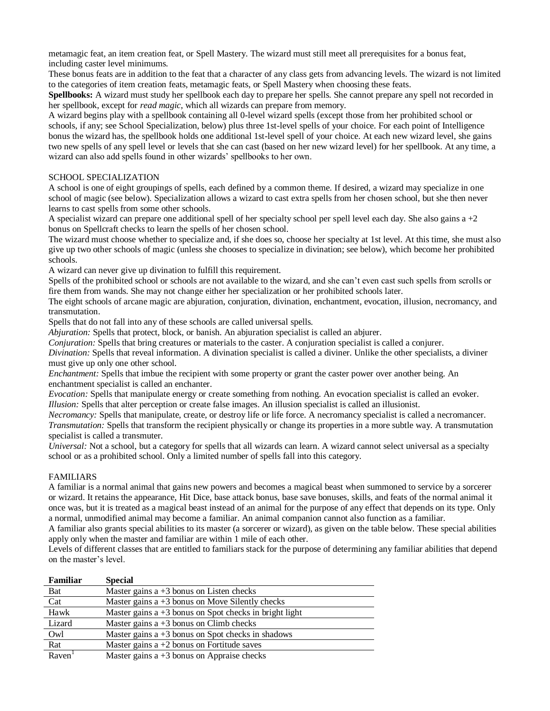metamagic feat, an item creation feat, or Spell Mastery. The wizard must still meet all prerequisites for a bonus feat, including caster level minimums.

These bonus feats are in addition to the feat that a character of any class gets from advancing levels. The wizard is not limited to the categories of item creation feats, metamagic feats, or Spell Mastery when choosing these feats.

**Spellbooks:** A wizard must study her spellbook each day to prepare her spells. She cannot prepare any spell not recorded in her spellbook, except for *read magic*, which all wizards can prepare from memory.

A wizard begins play with a spellbook containing all 0-level wizard spells (except those from her prohibited school or schools, if any; see School Specialization, below) plus three 1st-level spells of your choice. For each point of Intelligence bonus the wizard has, the spellbook holds one additional 1st-level spell of your choice. At each new wizard level, she gains two new spells of any spell level or levels that she can cast (based on her new wizard level) for her spellbook. At any time, a wizard can also add spells found in other wizards' spellbooks to her own.

#### SCHOOL SPECIALIZATION

A school is one of eight groupings of spells, each defined by a common theme. If desired, a wizard may specialize in one school of magic (see below). Specialization allows a wizard to cast extra spells from her chosen school, but she then never learns to cast spells from some other schools.

A specialist wizard can prepare one additional spell of her specialty school per spell level each day. She also gains a  $+2$ bonus on Spellcraft checks to learn the spells of her chosen school.

The wizard must choose whether to specialize and, if she does so, choose her specialty at 1st level. At this time, she must also give up two other schools of magic (unless she chooses to specialize in divination; see below), which become her prohibited schools.

A wizard can never give up divination to fulfill this requirement.

Spells of the prohibited school or schools are not available to the wizard, and she can't even cast such spells from scrolls or fire them from wands. She may not change either her specialization or her prohibited schools later.

The eight schools of arcane magic are abjuration, conjuration, divination, enchantment, evocation, illusion, necromancy, and transmutation.

Spells that do not fall into any of these schools are called universal spells.

*Abjuration:* Spells that protect, block, or banish. An abjuration specialist is called an abjurer.

*Conjuration:* Spells that bring creatures or materials to the caster. A conjuration specialist is called a conjurer.

*Divination:* Spells that reveal information. A divination specialist is called a diviner. Unlike the other specialists, a diviner must give up only one other school.

*Enchantment:* Spells that imbue the recipient with some property or grant the caster power over another being. An enchantment specialist is called an enchanter.

*Evocation:* Spells that manipulate energy or create something from nothing. An evocation specialist is called an evoker. *Illusion:* Spells that alter perception or create false images. An illusion specialist is called an illusionist.

*Necromancy:* Spells that manipulate, create, or destroy life or life force. A necromancy specialist is called a necromancer. *Transmutation:* Spells that transform the recipient physically or change its properties in a more subtle way. A transmutation specialist is called a transmuter.

*Universal:* Not a school, but a category for spells that all wizards can learn. A wizard cannot select universal as a specialty school or as a prohibited school. Only a limited number of spells fall into this category.

#### FAMILIARS

A familiar is a normal animal that gains new powers and becomes a magical beast when summoned to service by a sorcerer or wizard. It retains the appearance, Hit Dice, base attack bonus, base save bonuses, skills, and feats of the normal animal it once was, but it is treated as a magical beast instead of an animal for the purpose of any effect that depends on its type. Only a normal, unmodified animal may become a familiar. An animal companion cannot also function as a familiar.

A familiar also grants special abilities to its master (a sorcerer or wizard), as given on the table below. These special abilities apply only when the master and familiar are within 1 mile of each other.

Levels of different classes that are entitled to familiars stack for the purpose of determining any familiar abilities that depend on the master's level.

| Familiar           | <b>Special</b>                                            |
|--------------------|-----------------------------------------------------------|
| Bat                | Master gains $a + 3$ bonus on Listen checks               |
| Cat                | Master gains $a + 3$ bonus on Move Silently checks        |
| Hawk               | Master gains $a + 3$ bonus on Spot checks in bright light |
| Lizard             | Master gains $a + 3$ bonus on Climb checks                |
| Owl                | Master gains $a + 3$ bonus on Spot checks in shadows      |
| Rat                | Master gains $a + 2$ bonus on Fortitude saves             |
| Raven <sup>1</sup> | Master gains $a + 3$ bonus on Appraise checks             |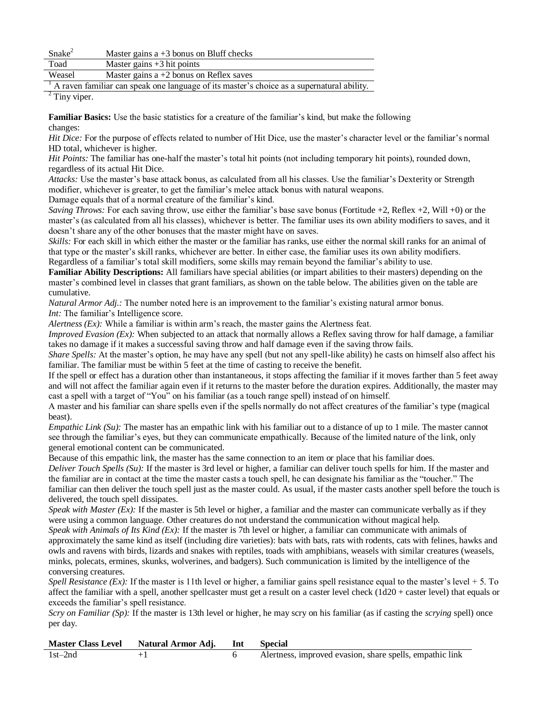| Snake <sup>2</sup>                                                                            | Master gains $a + 3$ bonus on Bluff checks |  |  |
|-----------------------------------------------------------------------------------------------|--------------------------------------------|--|--|
| Toad                                                                                          | Master gains $+3$ hit points               |  |  |
| Weasel                                                                                        | Master gains $a + 2$ bonus on Reflex saves |  |  |
| $1$ A raven familiar can speak one language of its master's choice as a supernatural ability. |                                            |  |  |

<sup>2</sup> Tiny viper.

**Familiar Basics:** Use the basic statistics for a creature of the familiar's kind, but make the following changes:

*Hit Dice:* For the purpose of effects related to number of Hit Dice, use the master's character level or the familiar's normal HD total, whichever is higher.

*Hit Points:* The familiar has one-half the master's total hit points (not including temporary hit points), rounded down, regardless of its actual Hit Dice.

*Attacks:* Use the master's base attack bonus, as calculated from all his classes. Use the familiar's Dexterity or Strength modifier, whichever is greater, to get the familiar's melee attack bonus with natural weapons.

Damage equals that of a normal creature of the familiar's kind.

*Saving Throws:* For each saving throw, use either the familiar's base save bonus (Fortitude +2, Reflex +2, Will +0) or the master's (as calculated from all his classes), whichever is better. The familiar uses its own ability modifiers to saves, and it doesn't share any of the other bonuses that the master might have on saves.

*Skills:* For each skill in which either the master or the familiar has ranks, use either the normal skill ranks for an animal of that type or the master's skill ranks, whichever are better. In either case, the familiar uses its own ability modifiers. Regardless of a familiar's total skill modifiers, some skills may remain beyond the familiar's ability to use.

**Familiar Ability Descriptions:** All familiars have special abilities (or impart abilities to their masters) depending on the master's combined level in classes that grant familiars, as shown on the table below. The abilities given on the table are cumulative.

*Natural Armor Adj.:* The number noted here is an improvement to the familiar's existing natural armor bonus. *Int:* The familiar's Intelligence score.

*Alertness (Ex):* While a familiar is within arm's reach, the master gains the Alertness feat.

*Improved Evasion (Ex):* When subjected to an attack that normally allows a Reflex saving throw for half damage, a familiar takes no damage if it makes a successful saving throw and half damage even if the saving throw fails.

*Share Spells:* At the master's option, he may have any spell (but not any spell-like ability) he casts on himself also affect his familiar. The familiar must be within 5 feet at the time of casting to receive the benefit.

If the spell or effect has a duration other than instantaneous, it stops affecting the familiar if it moves farther than 5 feet away and will not affect the familiar again even if it returns to the master before the duration expires. Additionally, the master may cast a spell with a target of "You" on his familiar (as a touch range spell) instead of on himself.

A master and his familiar can share spells even if the spells normally do not affect creatures of the familiar's type (magical beast).

*Empathic Link (Su):* The master has an empathic link with his familiar out to a distance of up to 1 mile. The master cannot see through the familiar's eyes, but they can communicate empathically. Because of the limited nature of the link, only general emotional content can be communicated.

Because of this empathic link, the master has the same connection to an item or place that his familiar does.

*Deliver Touch Spells (Su):* If the master is 3rd level or higher, a familiar can deliver touch spells for him. If the master and the familiar are in contact at the time the master casts a touch spell, he can designate his familiar as the "toucher." The familiar can then deliver the touch spell just as the master could. As usual, if the master casts another spell before the touch is delivered, the touch spell dissipates.

*Speak with Master (Ex):* If the master is 5th level or higher, a familiar and the master can communicate verbally as if they were using a common language. Other creatures do not understand the communication without magical help.

*Speak with Animals of Its Kind (Ex):* If the master is 7th level or higher, a familiar can communicate with animals of approximately the same kind as itself (including dire varieties): bats with bats, rats with rodents, cats with felines, hawks and owls and ravens with birds, lizards and snakes with reptiles, toads with amphibians, weasels with similar creatures (weasels, minks, polecats, ermines, skunks, wolverines, and badgers). Such communication is limited by the intelligence of the conversing creatures.

*Spell Resistance (Ex):* If the master is 11th level or higher, a familiar gains spell resistance equal to the master's level  $+ 5$ . To affect the familiar with a spell, another spellcaster must get a result on a caster level check (1d20 + caster level) that equals or exceeds the familiar's spell resistance.

*Scry on Familiar (Sp):* If the master is 13th level or higher, he may scry on his familiar (as if casting the *scrying* spell) once per day.

|         | Master Class Level Natural Armor Adj. Int Special |                                                          |
|---------|---------------------------------------------------|----------------------------------------------------------|
| 1st–2nd |                                                   | Alertness, improved evasion, share spells, empathic link |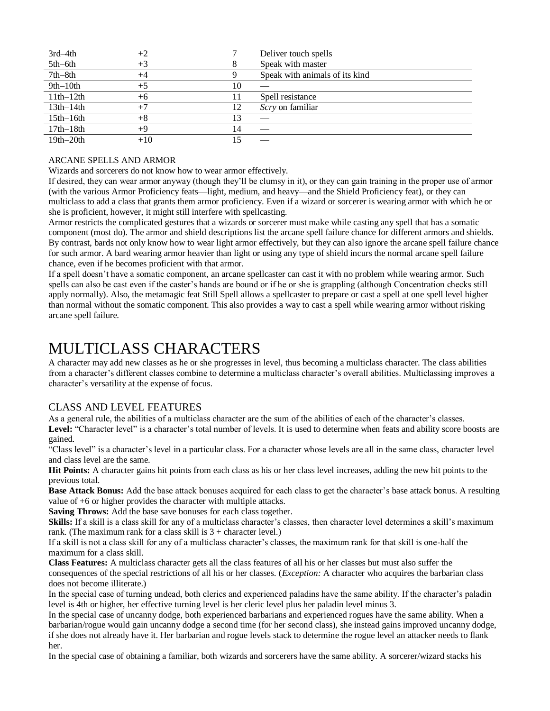| $3rd-4th$   | $+2$  |    | Deliver touch spells           |
|-------------|-------|----|--------------------------------|
| 5th-6th     | $+3$  |    | Speak with master              |
| 7th–8th     | $+4$  |    | Speak with animals of its kind |
| $9th-10th$  | $+5$  | 10 |                                |
| $11th-12th$ | $+6$  |    | Spell resistance               |
| $13th-14th$ |       | 12 | Scry on familiar               |
| $15th-16th$ | $+8$  | 13 |                                |
| $17th-18th$ | $+9$  | 14 |                                |
| $19th-20th$ | $+10$ |    |                                |

### ARCANE SPELLS AND ARMOR

Wizards and sorcerers do not know how to wear armor effectively.

If desired, they can wear armor anyway (though they'll be clumsy in it), or they can gain training in the proper use of armor (with the various Armor Proficiency feats—light, medium, and heavy—and the Shield Proficiency feat), or they can multiclass to add a class that grants them armor proficiency. Even if a wizard or sorcerer is wearing armor with which he or she is proficient, however, it might still interfere with spellcasting.

Armor restricts the complicated gestures that a wizards or sorcerer must make while casting any spell that has a somatic component (most do). The armor and shield descriptions list the arcane spell failure chance for different armors and shields. By contrast, bards not only know how to wear light armor effectively, but they can also ignore the arcane spell failure chance for such armor. A bard wearing armor heavier than light or using any type of shield incurs the normal arcane spell failure chance, even if he becomes proficient with that armor.

If a spell doesn't have a somatic component, an arcane spellcaster can cast it with no problem while wearing armor. Such spells can also be cast even if the caster's hands are bound or if he or she is grappling (although Concentration checks still apply normally). Also, the metamagic feat Still Spell allows a spellcaster to prepare or cast a spell at one spell level higher than normal without the somatic component. This also provides a way to cast a spell while wearing armor without risking arcane spell failure.

# MULTICLASS CHARACTERS

A character may add new classes as he or she progresses in level, thus becoming a multiclass character. The class abilities from a character's different classes combine to determine a multiclass character's overall abilities. Multiclassing improves a character's versatility at the expense of focus.

## CLASS AND LEVEL FEATURES

As a general rule, the abilities of a multiclass character are the sum of the abilities of each of the character's classes.

Level: "Character level" is a character's total number of levels. It is used to determine when feats and ability score boosts are gained.

"Class level" is a character's level in a particular class. For a character whose levels are all in the same class, character level and class level are the same.

**Hit Points:** A character gains hit points from each class as his or her class level increases, adding the new hit points to the previous total.

**Base Attack Bonus:** Add the base attack bonuses acquired for each class to get the character's base attack bonus. A resulting value of +6 or higher provides the character with multiple attacks.

**Saving Throws:** Add the base save bonuses for each class together.

**Skills:** If a skill is a class skill for any of a multiclass character's classes, then character level determines a skill's maximum rank. (The maximum rank for a class skill is  $3 +$  character level.)

If a skill is not a class skill for any of a multiclass character's classes, the maximum rank for that skill is one-half the maximum for a class skill.

**Class Features:** A multiclass character gets all the class features of all his or her classes but must also suffer the consequences of the special restrictions of all his or her classes. (*Exception:* A character who acquires the barbarian class does not become illiterate.)

In the special case of turning undead, both clerics and experienced paladins have the same ability. If the character's paladin level is 4th or higher, her effective turning level is her cleric level plus her paladin level minus 3.

In the special case of uncanny dodge, both experienced barbarians and experienced rogues have the same ability. When a barbarian/rogue would gain uncanny dodge a second time (for her second class), she instead gains improved uncanny dodge, if she does not already have it. Her barbarian and rogue levels stack to determine the rogue level an attacker needs to flank her.

In the special case of obtaining a familiar, both wizards and sorcerers have the same ability. A sorcerer/wizard stacks his